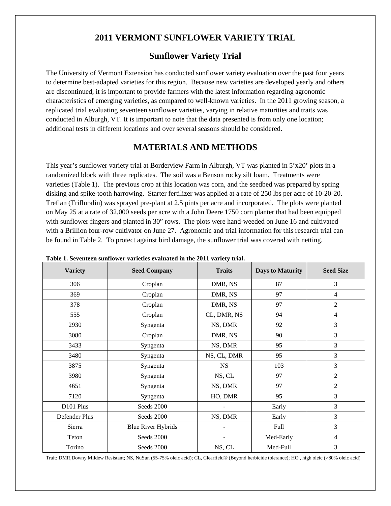# **2011 VERMONT SUNFLOWER VARIETY TRIAL**

#### **Sunflower Variety Trial**

The University of Vermont Extension has conducted sunflower variety evaluation over the past four years to determine best-adapted varieties for this region. Because new varieties are developed yearly and others are discontinued, it is important to provide farmers with the latest information regarding agronomic characteristics of emerging varieties, as compared to well-known varieties. In the 2011 growing season, a replicated trial evaluating seventeen sunflower varieties, varying in relative maturities and traits was conducted in Alburgh, VT. It is important to note that the data presented is from only one location; additional tests in different locations and over several seasons should be considered.

## **MATERIALS AND METHODS**

This year's sunflower variety trial at Borderview Farm in Alburgh, VT was planted in 5'x20' plots in a randomized block with three replicates. The soil was a Benson rocky silt loam. Treatments were varieties (Table 1). The previous crop at this location was corn, and the seedbed was prepared by spring disking and spike-tooth harrowing. Starter fertilizer was applied at a rate of 250 lbs per acre of 10-20-20. Treflan (Trifluralin) was sprayed pre-plant at 2.5 pints per acre and incorporated. The plots were planted on May 25 at a rate of 32,000 seeds per acre with a John Deere 1750 corn planter that had been equipped with sunflower fingers and planted in 30" rows. The plots were hand-weeded on June 16 and cultivated with a Brillion four-row cultivator on June 27. Agronomic and trial information for this research trial can be found in Table 2. To protect against bird damage, the sunflower trial was covered with netting.

| Table 1. Seventeen suntlower varieties evaluated in the 2011 variety trial. |                           |               |                         |                  |  |  |  |  |  |
|-----------------------------------------------------------------------------|---------------------------|---------------|-------------------------|------------------|--|--|--|--|--|
| <b>Variety</b>                                                              | <b>Seed Company</b>       | <b>Traits</b> | <b>Days to Maturity</b> | <b>Seed Size</b> |  |  |  |  |  |
| 306                                                                         | Croplan                   | DMR, NS       | 87                      | 3                |  |  |  |  |  |
| 369                                                                         | Croplan                   | DMR, NS       | 97                      | $\overline{4}$   |  |  |  |  |  |
| 378                                                                         | Croplan                   | DMR, NS       | 97                      | $\overline{2}$   |  |  |  |  |  |
| 555                                                                         | Croplan                   | CL, DMR, NS   | 94                      | $\overline{4}$   |  |  |  |  |  |
| 2930                                                                        | Syngenta                  | NS, DMR       | 92                      | 3                |  |  |  |  |  |
| 3080                                                                        | Croplan                   | DMR, NS       | 90                      | 3                |  |  |  |  |  |
| 3433                                                                        | Syngenta                  | NS, DMR       | 95                      | 3                |  |  |  |  |  |
| 3480                                                                        | Syngenta                  | NS, CL, DMR   | 95                      | 3                |  |  |  |  |  |
| 3875                                                                        | Syngenta                  | <b>NS</b>     | 103                     | 3                |  |  |  |  |  |
| 3980                                                                        | Syngenta                  | NS, CL        | 97                      | $\overline{2}$   |  |  |  |  |  |
| 4651                                                                        | Syngenta                  | NS, DMR       | 97                      | $\overline{2}$   |  |  |  |  |  |
| 7120                                                                        | Syngenta                  | HO, DMR       | 95                      | 3                |  |  |  |  |  |
| D <sub>101</sub> Plus                                                       | Seeds 2000                |               | Early                   | 3                |  |  |  |  |  |
| Defender Plus                                                               | Seeds 2000                | NS, DMR       | Early                   | 3                |  |  |  |  |  |
| Sierra                                                                      | <b>Blue River Hybrids</b> |               | Full                    | $\overline{3}$   |  |  |  |  |  |
| Teton                                                                       | Seeds 2000                |               | Med-Early               | $\overline{4}$   |  |  |  |  |  |
| Torino                                                                      | Seeds 2000                | NS, CL        | Med-Full                | 3                |  |  |  |  |  |

**Table 1. Seventeen sunflower varieties evaluated in the 2011 variety trial.**

Trait: DMR,Downy Mildew Resistant; NS, NuSun (55-75% oleic acid); CL, Clearfield® (Beyond herbicide tolerance); HO , high oleic (>80% oleic acid)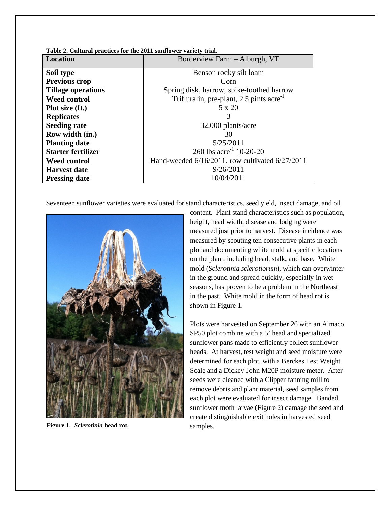| Location                  | Borderview Farm - Alburgh, VT                   |
|---------------------------|-------------------------------------------------|
| Soil type                 | Benson rocky silt loam                          |
| <b>Previous crop</b>      | Corn                                            |
| <b>Tillage operations</b> | Spring disk, harrow, spike-toothed harrow       |
| <b>Weed control</b>       | Trifluralin, pre-plant, 2.5 pints $\arccos 1$   |
| Plot size (ft.)           | 5 x 20                                          |
| <b>Replicates</b>         | 3                                               |
| <b>Seeding rate</b>       | 32,000 plants/acre                              |
| Row width (in.)           | 30                                              |
| <b>Planting date</b>      | 5/25/2011                                       |
| <b>Starter fertilizer</b> | 260 lbs acre <sup>-1</sup> 10-20-20             |
| <b>Weed control</b>       | Hand-weeded 6/16/2011, row cultivated 6/27/2011 |
| <b>Harvest date</b>       | 9/26/2011                                       |
| <b>Pressing date</b>      | 10/04/2011                                      |

**Table 2. Cultural practices for the 2011 sunflower variety trial.**

Seventeen sunflower varieties were evaluated for stand characteristics, seed yield, insect damage, and oil



**Figure 1.** *Sclerotinia* **head rot.** samples.

content. Plant stand characteristics such as population, height, head width, disease and lodging were measured just prior to harvest. Disease incidence was measured by scouting ten consecutive plants in each plot and documenting white mold at specific locations on the plant, including head, stalk, and base. White mold (*Sclerotinia sclerotiorum*), which can overwinter in the ground and spread quickly, especially in wet seasons, has proven to be a problem in the Northeast in the past. White mold in the form of head rot is shown in Figure 1.

Plots were harvested on September 26 with an Almaco SP50 plot combine with a 5' head and specialized sunflower pans made to efficiently collect sunflower heads. At harvest, test weight and seed moisture were determined for each plot, with a Berckes Test Weight Scale and a Dickey-John M20P moisture meter. After seeds were cleaned with a Clipper fanning mill to remove debris and plant material, seed samples from each plot were evaluated for insect damage. Banded sunflower moth larvae (Figure 2) damage the seed and create distinguishable exit holes in harvested seed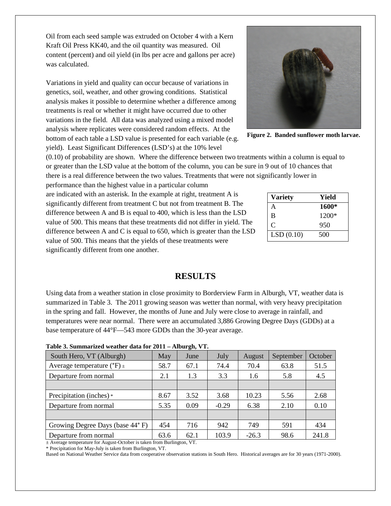Oil from each seed sample was extruded on October 4 with a Kern Kraft Oil Press KK40, and the oil quantity was measured. Oil content (percent) and oil yield (in lbs per acre and gallons per acre) was calculated.

Variations in yield and quality can occur because of variations in genetics, soil, weather, and other growing conditions. Statistical analysis makes it possible to determine whether a difference among treatments is real or whether it might have occurred due to other variations in the field. All data was analyzed using a mixed model analysis where replicates were considered random effects. At the bottom of each table a LSD value is presented for each variable (e.g. yield). Least Significant Differences (LSD's) at the 10% level

(0.10) of probability are shown. Where the difference between two treatments within a column is equal to or greater than the LSD value at the bottom of the column, you can be sure in 9 out of 10 chances that there is a real difference between the two values. Treatments that were not significantly lower in

performance than the highest value in a particular column are indicated with an asterisk. In the example at right, treatment A is significantly different from treatment C but not from treatment B. The difference between A and B is equal to 400, which is less than the LSD value of 500. This means that these treatments did not differ in yield. The difference between A and C is equal to 650, which is greater than the LSD value of 500. This means that the yields of these treatments were significantly different from one another.

### **RESULTS**

Using data from a weather station in close proximity to Borderview Farm in Alburgh, VT, weather data is summarized in Table 3. The 2011 growing season was wetter than normal, with very heavy precipitation in the spring and fall. However, the months of June and July were close to average in rainfall, and temperatures were near normal. There were an accumulated 3,886 Growing Degree Days (GDDs) at a base temperature of 44°F—543 more GDDs than the 30-year average.

**Table 3. Summarized weather data for 2011 – Alburgh, VT.**

| South Hero, VT (Alburgh)                       | May  | June | July    | August  | September | October |
|------------------------------------------------|------|------|---------|---------|-----------|---------|
| Average temperature ( ${}^{\circ}$ F) $_{\pm}$ | 58.7 | 67.1 | 74.4    | 70.4    | 63.8      | 51.5    |
| Departure from normal                          | 2.1  | 1.3  | 3.3     | 1.6     | 5.8       | 4.5     |
|                                                |      |      |         |         |           |         |
| Precipitation (inches) *                       | 8.67 | 3.52 | 3.68    | 10.23   | 5.56      | 2.68    |
| Departure from normal                          | 5.35 | 0.09 | $-0.29$ | 6.38    | 2.10      | 0.10    |
|                                                |      |      |         |         |           |         |
| Growing Degree Days (base 44°F)                | 454  | 716  | 942     | 749     | 591       | 434     |
| Departure from normal                          | 63.6 | 62.1 | 103.9   | $-26.3$ | 98.6      | 241.8   |

± Average temperature for August-October is taken from Burlington, VT. \* Precipitation for May-July is taken from Burlington, VT.

Based on National Weather Service data from cooperative observation stations in South Hero. Historical averages are for 30 years (1971-2000).

**Figure 2. Banded sunflower moth larvae.**

| <b>Variety</b> | Yield   |
|----------------|---------|
| A              | 1600*   |
| B              | $1200*$ |
| C              | 950     |
| LSD(0.10)      | 500     |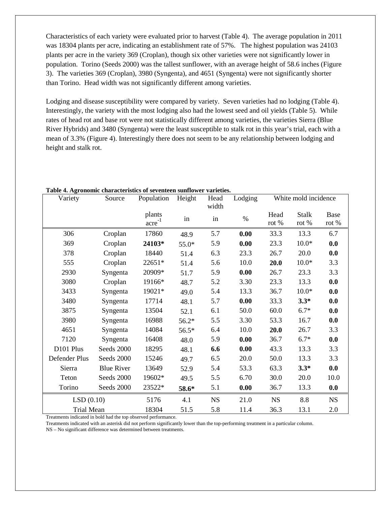Characteristics of each variety were evaluated prior to harvest (Table 4). The average population in 2011 was 18304 plants per acre, indicating an establishment rate of 57%. The highest population was 24103 plants per acre in the variety 369 (Croplan), though six other varieties were not significantly lower in population. Torino (Seeds 2000) was the tallest sunflower, with an average height of 58.6 inches (Figure 3). The varieties 369 (Croplan), 3980 (Syngenta), and 4651 (Syngenta) were not significantly shorter than Torino. Head width was not significantly different among varieties.

Lodging and disease susceptibility were compared by variety. Seven varieties had no lodging (Table 4). Interestingly, the variety with the most lodging also had the lowest seed and oil yields (Table 5). While rates of head rot and base rot were not statistically different among varieties, the varieties Sierra (Blue River Hybrids) and 3480 (Syngenta) were the least susceptible to stalk rot in this year's trial, each with a mean of 3.3% (Figure 4). Interestingly there does not seem to be any relationship between lodging and height and stalk rot.

| Variety           | Source            | Population            | Height  | Head<br>width | Lodging | White mold incidence |                       |               |
|-------------------|-------------------|-----------------------|---------|---------------|---------|----------------------|-----------------------|---------------|
|                   |                   | plants<br>$\arccos 1$ | in      | in            | $\%$    | Head<br>rot %        | <b>Stalk</b><br>rot % | Base<br>rot % |
| 306               | Croplan           | 17860                 | 48.9    | 5.7           | 0.00    | 33.3                 | 13.3                  | 6.7           |
| 369               | Croplan           | 24103*                | 55.0*   | 5.9           | 0.00    | 23.3                 | $10.0*$               | 0.0           |
| 378               | Croplan           | 18440                 | 51.4    | 6.3           | 23.3    | 26.7                 | 20.0                  | 0.0           |
| 555               | Croplan           | 22651*                | 51.4    | 5.6           | 10.0    | 20.0                 | $10.0*$               | 3.3           |
| 2930              | Syngenta          | 20909*                | 51.7    | 5.9           | 0.00    | 26.7                 | 23.3                  | 3.3           |
| 3080              | Croplan           | 19166*                | 48.7    | 5.2           | 3.30    | 23.3                 | 13.3                  | 0.0           |
| 3433              | Syngenta          | 19021*                | 49.0    | 5.4           | 13.3    | 36.7                 | $10.0*$               | 0.0           |
| 3480              | Syngenta          | 17714                 | 48.1    | 5.7           | 0.00    | 33.3                 | $3.3*$                | 0.0           |
| 3875              | Syngenta          | 13504                 | 52.1    | 6.1           | 50.0    | 60.0                 | $6.7*$                | 0.0           |
| 3980              | Syngenta          | 16988                 | $56.2*$ | 5.5           | 3.30    | 53.3                 | 16.7                  | 0.0           |
| 4651              | Syngenta          | 14084                 | 56.5*   | 6.4           | 10.0    | 20.0                 | 26.7                  | 3.3           |
| 7120              | Syngenta          | 16408                 | 48.0    | 5.9           | 0.00    | 36.7                 | $6.7*$                | 0.0           |
| D101 Plus         | Seeds 2000        | 18295                 | 48.1    | 6.6           | 0.00    | 43.3                 | 13.3                  | 3.3           |
| Defender Plus     | Seeds 2000        | 15246                 | 49.7    | 6.5           | 20.0    | 50.0                 | 13.3                  | 3.3           |
| Sierra            | <b>Blue River</b> | 13649                 | 52.9    | 5.4           | 53.3    | 63.3                 | $3.3*$                | 0.0           |
| Teton             | Seeds 2000        | 19602*                | 49.5    | 5.5           | 6.70    | 30.0                 | 20.0                  | 10.0          |
| Torino            | Seeds 2000        | 23522*                | 58.6*   | 5.1           | 0.00    | 36.7                 | 13.3                  | 0.0           |
| LSD(0.10)         |                   | 5176                  | 4.1     | $_{\rm NS}$   | 21.0    | <b>NS</b>            | 8.8                   | <b>NS</b>     |
| <b>Trial Mean</b> |                   | 18304                 | 51.5    | 5.8           | 11.4    | 36.3                 | 13.1                  | 2.0           |

#### **Table 4. Agronomic characteristics of seventeen sunflower varieties.**

Treatments indicated in bold had the top observed performance.

Treatments indicated with an asterisk did not perform significantly lower than the top-performing treatment in a particular column.

NS – No significant difference was determined between treatments.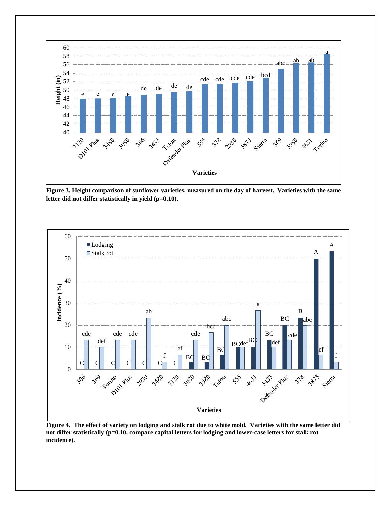

**Figure 3. Height comparison of sunflower varieties, measured on the day of harvest. Varieties with the same letter did not differ statistically in yield (p=0.10).**



**Figure 4. The effect of variety on lodging and stalk rot due to white mold. Varieties with the same letter did not differ statistically (p=0.10, compare capital letters for lodging and lower-case letters for stalk rot incidence).**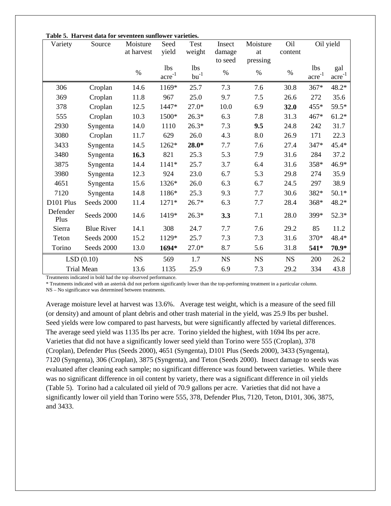| Variety           | Table 5. Halvest data for seventeen sumfower varieties.<br>Source | Moisture   | Seed                | Test                    | Insect    | Moisture  | Oil       |                                  | Oil yield                  |  |
|-------------------|-------------------------------------------------------------------|------------|---------------------|-------------------------|-----------|-----------|-----------|----------------------------------|----------------------------|--|
|                   |                                                                   | at harvest | yield               | weight                  | damage    | at        | content   |                                  |                            |  |
|                   |                                                                   |            | <b>lbs</b>          |                         | to seed   | pressing  |           | <b>lbs</b>                       |                            |  |
|                   |                                                                   | $\%$       | $\sum_{ }^{\infty}$ | lbs<br>$\mbox{bu}^{-1}$ | $\%$      | $\%$      | $\%$      | $\stackrel{\text{acre}^{-1}}{=}$ | gal<br>$\sum_{ }^{\infty}$ |  |
|                   |                                                                   |            |                     |                         |           |           |           |                                  |                            |  |
| 306               | Croplan                                                           | 14.6       | 1169*               | 25.7                    | 7.3       | 7.6       | 30.8      | $367*$                           | 48.2*                      |  |
| 369               | Croplan                                                           | 11.8       | 967                 | 25.0                    | 9.7       | 7.5       | 26.6      | 272                              | 35.6                       |  |
| 378               | Croplan                                                           | 12.5       | 1447*               | $27.0*$                 | 10.0      | 6.9       | 32.0      | 455*                             | 59.5*                      |  |
| 555               | Croplan                                                           | 10.3       | 1500*               | $26.3*$                 | 6.3       | 7.8       | 31.3      | 467*                             | $61.2*$                    |  |
| 2930              | Syngenta                                                          | 14.0       | 1110                | $26.3*$                 | 7.3       | 9.5       | 24.8      | 242                              | 31.7                       |  |
| 3080              | Croplan                                                           | 11.7       | 629                 | 26.0                    | 4.3       | 8.0       | 26.9      | 171                              | 22.3                       |  |
| 3433              | Syngenta                                                          | 14.5       | 1262*               | $28.0*$                 | 7.7       | 7.6       | 27.4      | 347*                             | 45.4*                      |  |
| 3480              | Syngenta                                                          | 16.3       | 821                 | 25.3                    | 5.3       | 7.9       | 31.6      | 284                              | 37.2                       |  |
| 3875              | Syngenta                                                          | 14.4       | 1141*               | 25.7                    | 3.7       | 6.4       | 31.6      | 358*                             | 46.9*                      |  |
| 3980              | Syngenta                                                          | 12.3       | 924                 | 23.0                    | 6.7       | 5.3       | 29.8      | 274                              | 35.9                       |  |
| 4651              | Syngenta                                                          | 15.6       | 1326*               | 26.0                    | 6.3       | 6.7       | 24.5      | 297                              | 38.9                       |  |
| 7120              | Syngenta                                                          | 14.8       | 1186*               | 25.3                    | 9.3       | 7.7       | 30.6      | 382*                             | $50.1*$                    |  |
| D101 Plus         | Seeds 2000                                                        | 11.4       | $1271*$             | $26.7*$                 | 6.3       | 7.7       | 28.4      | 368*                             | 48.2*                      |  |
| Defender<br>Plus  | Seeds 2000                                                        | 14.6       | 1419*               | $26.3*$                 | 3.3       | 7.1       | 28.0      | 399*                             | $52.3*$                    |  |
| Sierra            | <b>Blue River</b>                                                 | 14.1       | 308                 | 24.7                    | 7.7       | 7.6       | 29.2      | 85                               | 11.2                       |  |
| Teton             | Seeds 2000                                                        | 15.2       | 1129*               | 25.7                    | 7.3       | 7.3       | 31.6      | 370*                             | 48.4*                      |  |
| Torino            | Seeds 2000                                                        | 13.0       | 1694*               | $27.0*$                 | 8.7       | 5.6       | 31.8      | 541*                             | 70.9*                      |  |
| LSD(0.10)         |                                                                   | <b>NS</b>  | 569                 | 1.7                     | <b>NS</b> | <b>NS</b> | <b>NS</b> | 200                              | 26.2                       |  |
| <b>Trial Mean</b> |                                                                   | 13.6       | 1135                | 25.9                    | 6.9       | 7.3       | 29.2      | 334                              | 43.8                       |  |

**Table 5. Harvest data for seventeen sunflower varieties.**

Treatments indicated in bold had the top observed performance.

\* Treatments indicated with an asterisk did not perform significantly lower than the top-performing treatment in a particular column.

NS – No significance was determined between treatments.

Average moisture level at harvest was 13.6%. Average test weight, which is a measure of the seed fill (or density) and amount of plant debris and other trash material in the yield, was 25.9 lbs per bushel. Seed yields were low compared to past harvests, but were significantly affected by varietal differences. The average seed yield was 1135 lbs per acre. Torino yielded the highest, with 1694 lbs per acre. Varieties that did not have a significantly lower seed yield than Torino were 555 (Croplan), 378 (Croplan), Defender Plus (Seeds 2000), 4651 (Syngenta), D101 Plus (Seeds 2000), 3433 (Syngenta), 7120 (Syngenta), 306 (Croplan), 3875 (Syngenta), and Teton (Seeds 2000). Insect damage to seeds was evaluated after cleaning each sample; no significant difference was found between varieties. While there was no significant difference in oil content by variety, there was a significant difference in oil yields (Table 5). Torino had a calculated oil yield of 70.9 gallons per acre. Varieties that did not have a significantly lower oil yield than Torino were 555, 378, Defender Plus, 7120, Teton, D101, 306, 3875, and 3433.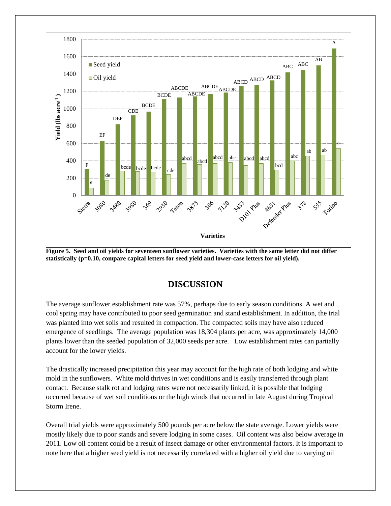

**Figure 5. Seed and oil yields for seventeen sunflower varieties. Varieties with the same letter did not differ statistically (p=0.10, compare capital letters for seed yield and lower-case letters for oil yield).**

## **DISCUSSION**

The average sunflower establishment rate was 57%, perhaps due to early season conditions. A wet and cool spring may have contributed to poor seed germination and stand establishment. In addition, the trial was planted into wet soils and resulted in compaction. The compacted soils may have also reduced emergence of seedlings. The average population was 18,304 plants per acre, was approximately 14,000 plants lower than the seeded population of 32,000 seeds per acre. Low establishment rates can partially account for the lower yields.

The drastically increased precipitation this year may account for the high rate of both lodging and white mold in the sunflowers. White mold thrives in wet conditions and is easily transferred through plant contact. Because stalk rot and lodging rates were not necessarily linked, it is possible that lodging occurred because of wet soil conditions or the high winds that occurred in late August during Tropical Storm Irene.

Overall trial yields were approximately 500 pounds per acre below the state average. Lower yields were mostly likely due to poor stands and severe lodging in some cases. Oil content was also below average in 2011. Low oil content could be a result of insect damage or other environmental factors. It is important to note here that a higher seed yield is not necessarily correlated with a higher oil yield due to varying oil